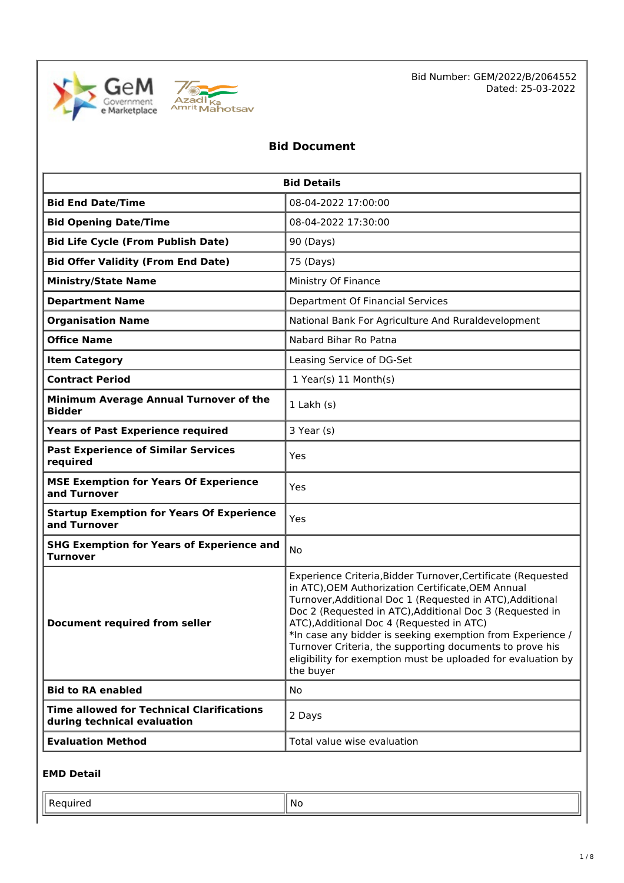



Bid Number: GEM/2022/B/2064552 Dated: 25-03-2022

## **Bid Document**

| <b>Bid Details</b>                                                              |                                                                                                                                                                                                                                                                                                                                                                                                                                                                                                 |  |  |  |
|---------------------------------------------------------------------------------|-------------------------------------------------------------------------------------------------------------------------------------------------------------------------------------------------------------------------------------------------------------------------------------------------------------------------------------------------------------------------------------------------------------------------------------------------------------------------------------------------|--|--|--|
| <b>Bid End Date/Time</b>                                                        | 08-04-2022 17:00:00                                                                                                                                                                                                                                                                                                                                                                                                                                                                             |  |  |  |
| <b>Bid Opening Date/Time</b>                                                    | 08-04-2022 17:30:00                                                                                                                                                                                                                                                                                                                                                                                                                                                                             |  |  |  |
| <b>Bid Life Cycle (From Publish Date)</b>                                       | 90 (Days)                                                                                                                                                                                                                                                                                                                                                                                                                                                                                       |  |  |  |
| <b>Bid Offer Validity (From End Date)</b>                                       | 75 (Days)                                                                                                                                                                                                                                                                                                                                                                                                                                                                                       |  |  |  |
| <b>Ministry/State Name</b>                                                      | Ministry Of Finance                                                                                                                                                                                                                                                                                                                                                                                                                                                                             |  |  |  |
| <b>Department Name</b>                                                          | Department Of Financial Services                                                                                                                                                                                                                                                                                                                                                                                                                                                                |  |  |  |
| <b>Organisation Name</b>                                                        | National Bank For Agriculture And Ruraldevelopment                                                                                                                                                                                                                                                                                                                                                                                                                                              |  |  |  |
| <b>Office Name</b>                                                              | Nabard Bihar Ro Patna                                                                                                                                                                                                                                                                                                                                                                                                                                                                           |  |  |  |
| <b>Item Category</b>                                                            | Leasing Service of DG-Set                                                                                                                                                                                                                                                                                                                                                                                                                                                                       |  |  |  |
| <b>Contract Period</b>                                                          | 1 Year(s) 11 Month(s)                                                                                                                                                                                                                                                                                                                                                                                                                                                                           |  |  |  |
| Minimum Average Annual Turnover of the<br><b>Bidder</b>                         | $1$ Lakh $(s)$                                                                                                                                                                                                                                                                                                                                                                                                                                                                                  |  |  |  |
| <b>Years of Past Experience required</b>                                        | 3 Year (s)                                                                                                                                                                                                                                                                                                                                                                                                                                                                                      |  |  |  |
| <b>Past Experience of Similar Services</b><br>required                          | Yes                                                                                                                                                                                                                                                                                                                                                                                                                                                                                             |  |  |  |
| <b>MSE Exemption for Years Of Experience</b><br>and Turnover                    | Yes                                                                                                                                                                                                                                                                                                                                                                                                                                                                                             |  |  |  |
| <b>Startup Exemption for Years Of Experience</b><br>and Turnover                | Yes                                                                                                                                                                                                                                                                                                                                                                                                                                                                                             |  |  |  |
| <b>SHG Exemption for Years of Experience and</b><br><b>Turnover</b>             | No                                                                                                                                                                                                                                                                                                                                                                                                                                                                                              |  |  |  |
| <b>Document required from seller</b>                                            | Experience Criteria, Bidder Turnover, Certificate (Requested<br>in ATC), OEM Authorization Certificate, OEM Annual<br>Turnover, Additional Doc 1 (Requested in ATC), Additional<br>Doc 2 (Requested in ATC), Additional Doc 3 (Requested in<br>ATC), Additional Doc 4 (Requested in ATC)<br>*In case any bidder is seeking exemption from Experience /<br>Turnover Criteria, the supporting documents to prove his<br>eligibility for exemption must be uploaded for evaluation by<br>the buyer |  |  |  |
| <b>Bid to RA enabled</b>                                                        | No                                                                                                                                                                                                                                                                                                                                                                                                                                                                                              |  |  |  |
| <b>Time allowed for Technical Clarifications</b><br>during technical evaluation | 2 Days                                                                                                                                                                                                                                                                                                                                                                                                                                                                                          |  |  |  |
| <b>Evaluation Method</b>                                                        | Total value wise evaluation                                                                                                                                                                                                                                                                                                                                                                                                                                                                     |  |  |  |

## **EMD Detail**

| . | N0 |
|---|----|
|   |    |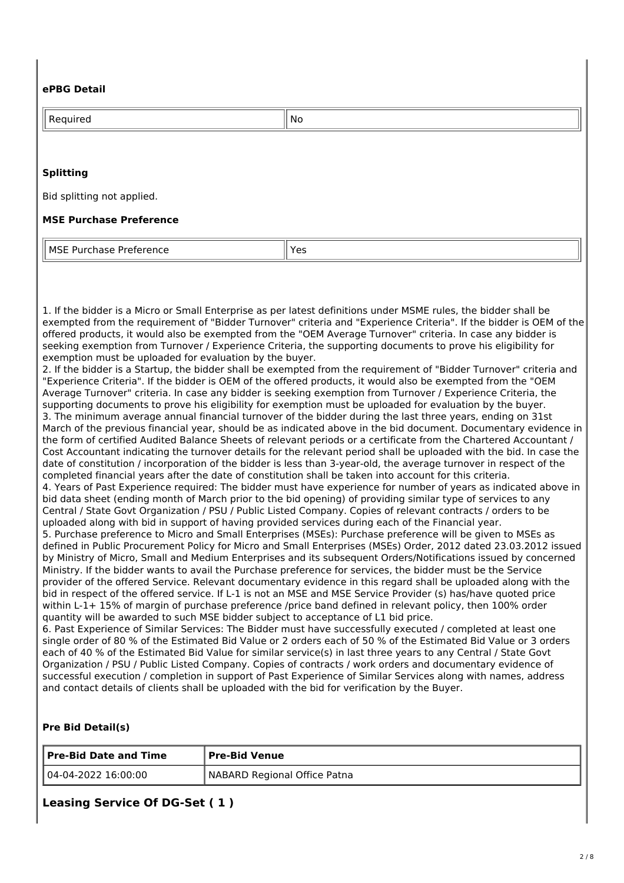## **ePBG Detail**

| Required                       | No  |
|--------------------------------|-----|
|                                |     |
| <b>Splitting</b>               |     |
| Bid splitting not applied.     |     |
| <b>MSE Purchase Preference</b> |     |
| MSE Purchase Preference        | Yes |

1. If the bidder is a Micro or Small Enterprise as per latest definitions under MSME rules, the bidder shall be exempted from the requirement of "Bidder Turnover" criteria and "Experience Criteria". If the bidder is OEM of the offered products, it would also be exempted from the "OEM Average Turnover" criteria. In case any bidder is seeking exemption from Turnover / Experience Criteria, the supporting documents to prove his eligibility for exemption must be uploaded for evaluation by the buyer.

2. If the bidder is a Startup, the bidder shall be exempted from the requirement of "Bidder Turnover" criteria and "Experience Criteria". If the bidder is OEM of the offered products, it would also be exempted from the "OEM Average Turnover" criteria. In case any bidder is seeking exemption from Turnover / Experience Criteria, the supporting documents to prove his eligibility for exemption must be uploaded for evaluation by the buyer. 3. The minimum average annual financial turnover of the bidder during the last three years, ending on 31st March of the previous financial year, should be as indicated above in the bid document. Documentary evidence in the form of certified Audited Balance Sheets of relevant periods or a certificate from the Chartered Accountant / Cost Accountant indicating the turnover details for the relevant period shall be uploaded with the bid. In case the date of constitution / incorporation of the bidder is less than 3-year-old, the average turnover in respect of the completed financial years after the date of constitution shall be taken into account for this criteria. 4. Years of Past Experience required: The bidder must have experience for number of years as indicated above in bid data sheet (ending month of March prior to the bid opening) of providing similar type of services to any Central / State Govt Organization / PSU / Public Listed Company. Copies of relevant contracts / orders to be uploaded along with bid in support of having provided services during each of the Financial year. 5. Purchase preference to Micro and Small Enterprises (MSEs): Purchase preference will be given to MSEs as defined in Public Procurement Policy for Micro and Small Enterprises (MSEs) Order, 2012 dated 23.03.2012 issued by Ministry of Micro, Small and Medium Enterprises and its subsequent Orders/Notifications issued by concerned Ministry. If the bidder wants to avail the Purchase preference for services, the bidder must be the Service provider of the offered Service. Relevant documentary evidence in this regard shall be uploaded along with the bid in respect of the offered service. If L-1 is not an MSE and MSE Service Provider (s) has/have quoted price within L-1+ 15% of margin of purchase preference /price band defined in relevant policy, then 100% order quantity will be awarded to such MSE bidder subject to acceptance of L1 bid price.

6. Past Experience of Similar Services: The Bidder must have successfully executed / completed at least one single order of 80 % of the Estimated Bid Value or 2 orders each of 50 % of the Estimated Bid Value or 3 orders each of 40 % of the Estimated Bid Value for similar service(s) in last three years to any Central / State Govt Organization / PSU / Public Listed Company. Copies of contracts / work orders and documentary evidence of successful execution / completion in support of Past Experience of Similar Services along with names, address and contact details of clients shall be uploaded with the bid for verification by the Buyer.

#### **Pre Bid Detail(s)**

| Pre-Bid Date and Time | Pre-Bid Venue                  |
|-----------------------|--------------------------------|
| 04-04-2022 16:00:00   | I NABARD Regional Office Patna |

**Leasing Service Of DG-Set ( 1 )**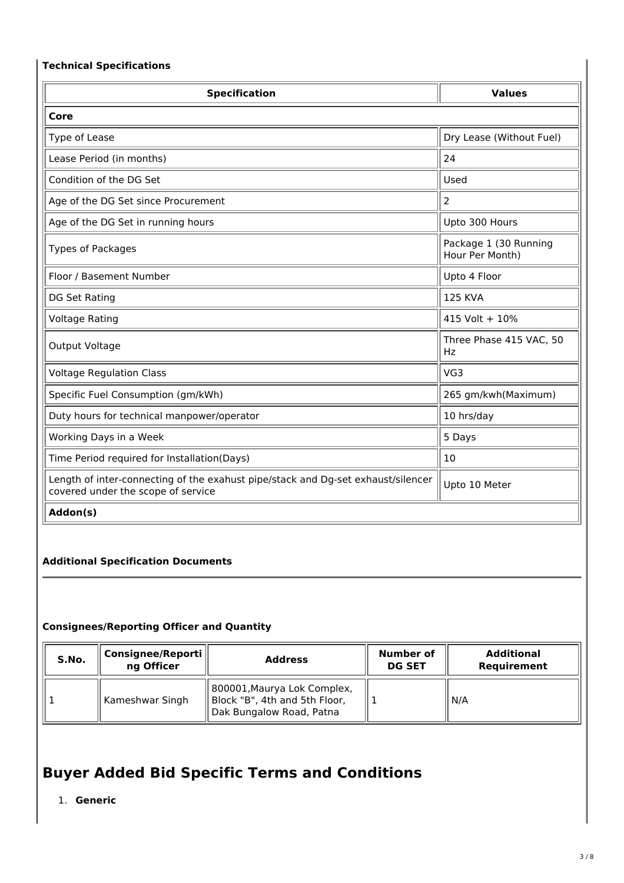## **Technical Specifications**

| <b>Specification</b>                                                                                                   | <b>Values</b>                            |  |  |  |
|------------------------------------------------------------------------------------------------------------------------|------------------------------------------|--|--|--|
| Core                                                                                                                   |                                          |  |  |  |
| Type of Lease                                                                                                          | Dry Lease (Without Fuel)                 |  |  |  |
| Lease Period (in months)                                                                                               | 24                                       |  |  |  |
| Condition of the DG Set                                                                                                | Used                                     |  |  |  |
| Age of the DG Set since Procurement                                                                                    | $\overline{2}$                           |  |  |  |
| Age of the DG Set in running hours                                                                                     | Upto 300 Hours                           |  |  |  |
| <b>Types of Packages</b>                                                                                               | Package 1 (30 Running<br>Hour Per Month) |  |  |  |
| Floor / Basement Number                                                                                                | Upto 4 Floor                             |  |  |  |
| DG Set Rating                                                                                                          | <b>125 KVA</b>                           |  |  |  |
| <b>Voltage Rating</b>                                                                                                  | 415 Volt + 10%                           |  |  |  |
| Output Voltage                                                                                                         | Three Phase 415 VAC, 50<br>Hz            |  |  |  |
| <b>Voltage Regulation Class</b>                                                                                        | VG3                                      |  |  |  |
| Specific Fuel Consumption (gm/kWh)                                                                                     | 265 gm/kwh(Maximum)                      |  |  |  |
| Duty hours for technical manpower/operator                                                                             | 10 hrs/day                               |  |  |  |
| Working Days in a Week                                                                                                 | 5 Days                                   |  |  |  |
| Time Period required for Installation(Days)                                                                            | 10                                       |  |  |  |
| Length of inter-connecting of the exahust pipe/stack and Dg-set exhaust/silencer<br>covered under the scope of service | Upto 10 Meter                            |  |  |  |
| Addon(s)                                                                                                               |                                          |  |  |  |

## **Additional Specification Documents**

## **Consignees/Reporting Officer and Quantity**

| S.No. | Consignee/Reporti<br>ng Officer | <b>Address</b>                                                                           | Number of<br><b>DG SET</b> | <b>Additional</b><br>Requirement |
|-------|---------------------------------|------------------------------------------------------------------------------------------|----------------------------|----------------------------------|
|       | Kameshwar Singh                 | 800001, Maurya Lok Complex,<br>Block "B", 4th and 5th Floor,<br>Dak Bungalow Road, Patna |                            | N/A                              |

# **Buyer Added Bid Specific Terms and Conditions**

1. **Generic**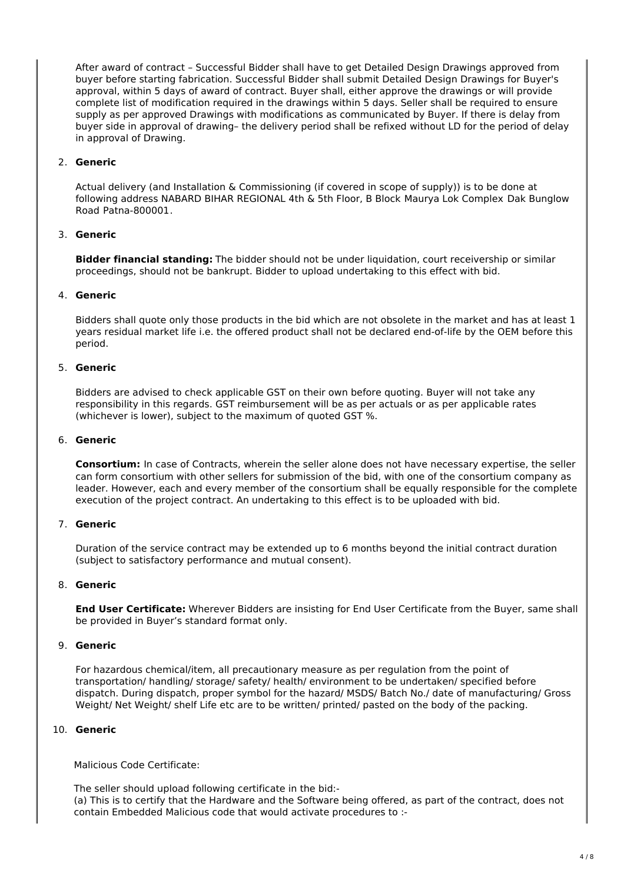After award of contract – Successful Bidder shall have to get Detailed Design Drawings approved from buyer before starting fabrication. Successful Bidder shall submit Detailed Design Drawings for Buyer's approval, within 5 days of award of contract. Buyer shall, either approve the drawings or will provide complete list of modification required in the drawings within 5 days. Seller shall be required to ensure supply as per approved Drawings with modifications as communicated by Buyer. If there is delay from buyer side in approval of drawing– the delivery period shall be refixed without LD for the period of delay in approval of Drawing.

#### 2. **Generic**

Actual delivery (and Installation & Commissioning (if covered in scope of supply)) is to be done at following address NABARD BIHAR REGIONAL 4th & 5th Floor, B Block Maurya Lok Complex Dak Bunglow Road Patna-800001.

#### 3. **Generic**

**Bidder financial standing:** The bidder should not be under liquidation, court receivership or similar proceedings, should not be bankrupt. Bidder to upload undertaking to this effect with bid.

#### 4. **Generic**

Bidders shall quote only those products in the bid which are not obsolete in the market and has at least 1 years residual market life i.e. the offered product shall not be declared end-of-life by the OEM before this period.

#### 5. **Generic**

Bidders are advised to check applicable GST on their own before quoting. Buyer will not take any responsibility in this regards. GST reimbursement will be as per actuals or as per applicable rates (whichever is lower), subject to the maximum of quoted GST %.

#### 6. **Generic**

**Consortium:** In case of Contracts, wherein the seller alone does not have necessary expertise, the seller can form consortium with other sellers for submission of the bid, with one of the consortium company as leader. However, each and every member of the consortium shall be equally responsible for the complete execution of the project contract. An undertaking to this effect is to be uploaded with bid.

#### 7. **Generic**

Duration of the service contract may be extended up to 6 months beyond the initial contract duration (subject to satisfactory performance and mutual consent).

#### 8. **Generic**

**End User Certificate:** Wherever Bidders are insisting for End User Certificate from the Buyer, same shall be provided in Buyer's standard format only.

#### 9. **Generic**

For hazardous chemical/item, all precautionary measure as per regulation from the point of transportation/ handling/ storage/ safety/ health/ environment to be undertaken/ specified before dispatch. During dispatch, proper symbol for the hazard/ MSDS/ Batch No./ date of manufacturing/ Gross Weight/ Net Weight/ shelf Life etc are to be written/ printed/ pasted on the body of the packing.

#### 10. **Generic**

Malicious Code Certificate:

The seller should upload following certificate in the bid:- (a) This is to certify that the Hardware and the Software being offered, as part of the contract, does not contain Embedded Malicious code that would activate procedures to :-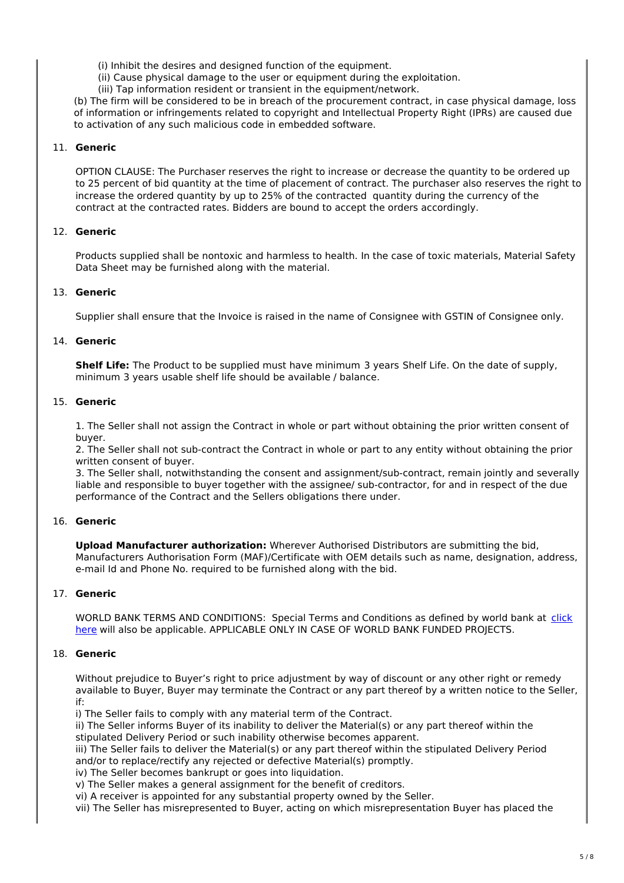(i) Inhibit the desires and designed function of the equipment.

(ii) Cause physical damage to the user or equipment during the exploitation.

(iii) Tap information resident or transient in the equipment/network.

(b) The firm will be considered to be in breach of the procurement contract, in case physical damage, loss of information or infringements related to copyright and Intellectual Property Right (IPRs) are caused due to activation of any such malicious code in embedded software.

#### 11. **Generic**

OPTION CLAUSE: The Purchaser reserves the right to increase or decrease the quantity to be ordered up to 25 percent of bid quantity at the time of placement of contract. The purchaser also reserves the right to increase the ordered quantity by up to 25% of the contracted quantity during the currency of the contract at the contracted rates. Bidders are bound to accept the orders accordingly.

#### 12. **Generic**

Products supplied shall be nontoxic and harmless to health. In the case of toxic materials, Material Safety Data Sheet may be furnished along with the material.

#### 13. **Generic**

Supplier shall ensure that the Invoice is raised in the name of Consignee with GSTIN of Consignee only.

#### 14. **Generic**

**Shelf Life:** The Product to be supplied must have minimum 3 years Shelf Life. On the date of supply, minimum 3 years usable shelf life should be available / balance.

#### 15. **Generic**

1. The Seller shall not assign the Contract in whole or part without obtaining the prior written consent of buyer.

2. The Seller shall not sub-contract the Contract in whole or part to any entity without obtaining the prior written consent of buyer.

3. The Seller shall, notwithstanding the consent and assignment/sub-contract, remain jointly and severally liable and responsible to buyer together with the assignee/ sub-contractor, for and in respect of the due performance of the Contract and the Sellers obligations there under.

#### 16. **Generic**

**Upload Manufacturer authorization:** Wherever Authorised Distributors are submitting the bid, Manufacturers Authorisation Form (MAF)/Certificate with OEM details such as name, designation, address, e-mail Id and Phone No. required to be furnished along with the bid.

## 17. **Generic**

WORLD BANK TERMS AND CONDITIONS: Special Terms and Conditions as defined by world bank at click here will also be applicable. APPLICABLE ONLY IN CASE OF WORLD BANK FUNDED PROJECTS.

#### 18. **Generic**

Without prejudice to Buyer's right to price adjustment by way of discount or any other right or remedy available to Buyer, Buyer may terminate the Contract or any part thereof by a written notice to the Seller, if:

i) The Seller fails to comply with any material term of the Contract.

ii) The Seller informs Buyer of its inability to deliver the Material(s) or any part thereof within the stipulated Delivery Period or such inability otherwise becomes apparent.

iii) The Seller fails to deliver the Material(s) or any part thereof within the stipulated Delivery Period and/or to replace/rectify any rejected or defective Material(s) promptly.

iv) The Seller becomes bankrupt or goes into liquidation.

v) The Seller makes a general assignment for the benefit of creditors.

vi) A receiver is appointed for any substantial property owned by the Seller.

vii) The Seller has misrepresented to Buyer, acting on which misrepresentation Buyer has placed the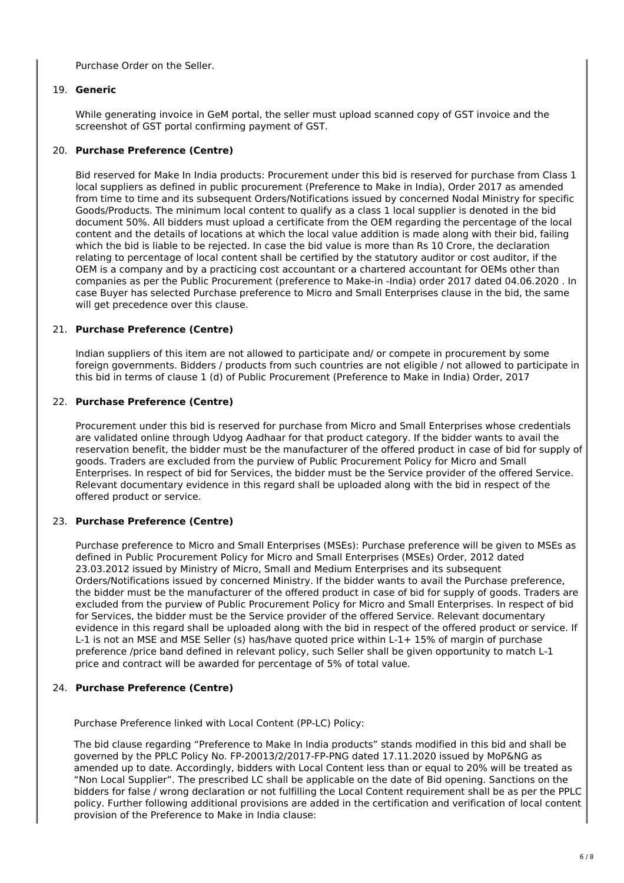Purchase Order on the Seller.

#### 19. **Generic**

While generating invoice in GeM portal, the seller must upload scanned copy of GST invoice and the screenshot of GST portal confirming payment of GST.

#### 20. **Purchase Preference (Centre)**

Bid reserved for Make In India products: Procurement under this bid is reserved for purchase from Class 1 local suppliers as defined in public procurement (Preference to Make in India), Order 2017 as amended from time to time and its subsequent Orders/Notifications issued by concerned Nodal Ministry for specific Goods/Products. The minimum local content to qualify as a class 1 local supplier is denoted in the bid document 50%. All bidders must upload a certificate from the OEM regarding the percentage of the local content and the details of locations at which the local value addition is made along with their bid, failing which the bid is liable to be rejected. In case the bid value is more than Rs 10 Crore, the declaration relating to percentage of local content shall be certified by the statutory auditor or cost auditor, if the OEM is a company and by a practicing cost accountant or a chartered accountant for OEMs other than companies as per the Public Procurement (preference to Make-in -India) order 2017 dated 04.06.2020 . In case Buyer has selected Purchase preference to Micro and Small Enterprises clause in the bid, the same will get precedence over this clause.

#### 21. **Purchase Preference (Centre)**

Indian suppliers of this item are not allowed to participate and/ or compete in procurement by some foreign governments. Bidders / products from such countries are not eligible / not allowed to participate in this bid in terms of clause 1 (d) of Public Procurement (Preference to Make in India) Order, 2017

#### 22. **Purchase Preference (Centre)**

Procurement under this bid is reserved for purchase from Micro and Small Enterprises whose credentials are validated online through Udyog Aadhaar for that product category. If the bidder wants to avail the reservation benefit, the bidder must be the manufacturer of the offered product in case of bid for supply of goods. Traders are excluded from the purview of Public Procurement Policy for Micro and Small Enterprises. In respect of bid for Services, the bidder must be the Service provider of the offered Service. Relevant documentary evidence in this regard shall be uploaded along with the bid in respect of the offered product or service.

#### 23. **Purchase Preference (Centre)**

Purchase preference to Micro and Small Enterprises (MSEs): Purchase preference will be given to MSEs as defined in Public Procurement Policy for Micro and Small Enterprises (MSEs) Order, 2012 dated 23.03.2012 issued by Ministry of Micro, Small and Medium Enterprises and its subsequent Orders/Notifications issued by concerned Ministry. If the bidder wants to avail the Purchase preference, the bidder must be the manufacturer of the offered product in case of bid for supply of goods. Traders are excluded from the purview of Public Procurement Policy for Micro and Small Enterprises. In respect of bid for Services, the bidder must be the Service provider of the offered Service. Relevant documentary evidence in this regard shall be uploaded along with the bid in respect of the offered product or service. If L-1 is not an MSE and MSE Seller (s) has/have quoted price within L-1+ 15% of margin of purchase preference /price band defined in relevant policy, such Seller shall be given opportunity to match L-1 price and contract will be awarded for percentage of 5% of total value.

#### 24. **Purchase Preference (Centre)**

Purchase Preference linked with Local Content (PP-LC) Policy:

The bid clause regarding "Preference to Make In India products" stands modified in this bid and shall be governed by the PPLC Policy No. FP-20013/2/2017-FP-PNG dated 17.11.2020 issued by MoP&NG as amended up to date. Accordingly, bidders with Local Content less than or equal to 20% will be treated as "Non Local Supplier". The prescribed LC shall be applicable on the date of Bid opening. Sanctions on the bidders for false / wrong declaration or not fulfilling the Local Content requirement shall be as per the PPLC policy. Further following additional provisions are added in the certification and verification of local content provision of the Preference to Make in India clause: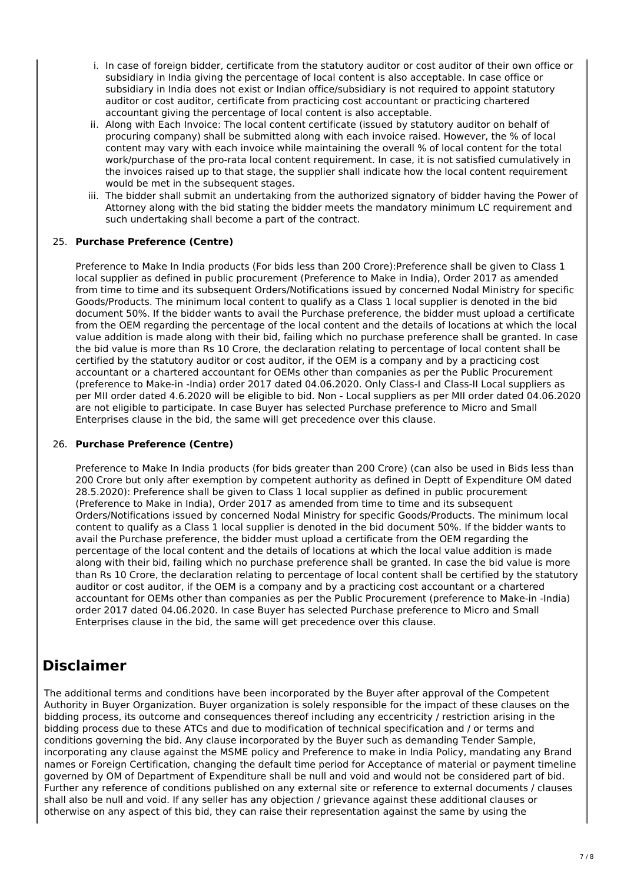- i. In case of foreign bidder, certificate from the statutory auditor or cost auditor of their own office or subsidiary in India giving the percentage of local content is also acceptable. In case office or subsidiary in India does not exist or Indian office/subsidiary is not required to appoint statutory auditor or cost auditor, certificate from practicing cost accountant or practicing chartered accountant giving the percentage of local content is also acceptable.
- ii. Along with Each Invoice: The local content certificate (issued by statutory auditor on behalf of procuring company) shall be submitted along with each invoice raised. However, the % of local content may vary with each invoice while maintaining the overall % of local content for the total work/purchase of the pro-rata local content requirement. In case, it is not satisfied cumulatively in the invoices raised up to that stage, the supplier shall indicate how the local content requirement would be met in the subsequent stages.
- iii. The bidder shall submit an undertaking from the authorized signatory of bidder having the Power of Attorney along with the bid stating the bidder meets the mandatory minimum LC requirement and such undertaking shall become a part of the contract.

## 25. **Purchase Preference (Centre)**

Preference to Make In India products (For bids less than 200 Crore):Preference shall be given to Class 1 local supplier as defined in public procurement (Preference to Make in India), Order 2017 as amended from time to time and its subsequent Orders/Notifications issued by concerned Nodal Ministry for specific Goods/Products. The minimum local content to qualify as a Class 1 local supplier is denoted in the bid document 50%. If the bidder wants to avail the Purchase preference, the bidder must upload a certificate from the OEM regarding the percentage of the local content and the details of locations at which the local value addition is made along with their bid, failing which no purchase preference shall be granted. In case the bid value is more than Rs 10 Crore, the declaration relating to percentage of local content shall be certified by the statutory auditor or cost auditor, if the OEM is a company and by a practicing cost accountant or a chartered accountant for OEMs other than companies as per the Public Procurement (preference to Make-in -India) order 2017 dated 04.06.2020. Only Class-I and Class-II Local suppliers as per MII order dated 4.6.2020 will be eligible to bid. Non - Local suppliers as per MII order dated 04.06.2020 are not eligible to participate. In case Buyer has selected Purchase preference to Micro and Small Enterprises clause in the bid, the same will get precedence over this clause.

#### 26. **Purchase Preference (Centre)**

Preference to Make In India products (for bids greater than 200 Crore) (can also be used in Bids less than 200 Crore but only after exemption by competent authority as defined in Deptt of Expenditure OM dated 28.5.2020): Preference shall be given to Class 1 local supplier as defined in public procurement (Preference to Make in India), Order 2017 as amended from time to time and its subsequent Orders/Notifications issued by concerned Nodal Ministry for specific Goods/Products. The minimum local content to qualify as a Class 1 local supplier is denoted in the bid document 50%. If the bidder wants to avail the Purchase preference, the bidder must upload a certificate from the OEM regarding the percentage of the local content and the details of locations at which the local value addition is made along with their bid, failing which no purchase preference shall be granted. In case the bid value is more than Rs 10 Crore, the declaration relating to percentage of local content shall be certified by the statutory auditor or cost auditor, if the OEM is a company and by a practicing cost accountant or a chartered accountant for OEMs other than companies as per the Public Procurement (preference to Make-in -India) order 2017 dated 04.06.2020. In case Buyer has selected Purchase preference to Micro and Small Enterprises clause in the bid, the same will get precedence over this clause.

## **Disclaimer**

The additional terms and conditions have been incorporated by the Buyer after approval of the Competent Authority in Buyer Organization. Buyer organization is solely responsible for the impact of these clauses on the bidding process, its outcome and consequences thereof including any eccentricity / restriction arising in the bidding process due to these ATCs and due to modification of technical specification and / or terms and conditions governing the bid. Any clause incorporated by the Buyer such as demanding Tender Sample, incorporating any clause against the MSME policy and Preference to make in India Policy, mandating any Brand names or Foreign Certification, changing the default time period for Acceptance of material or payment timeline governed by OM of Department of Expenditure shall be null and void and would not be considered part of bid. Further any reference of conditions published on any external site or reference to external documents / clauses shall also be null and void. If any seller has any objection / grievance against these additional clauses or otherwise on any aspect of this bid, they can raise their representation against the same by using the